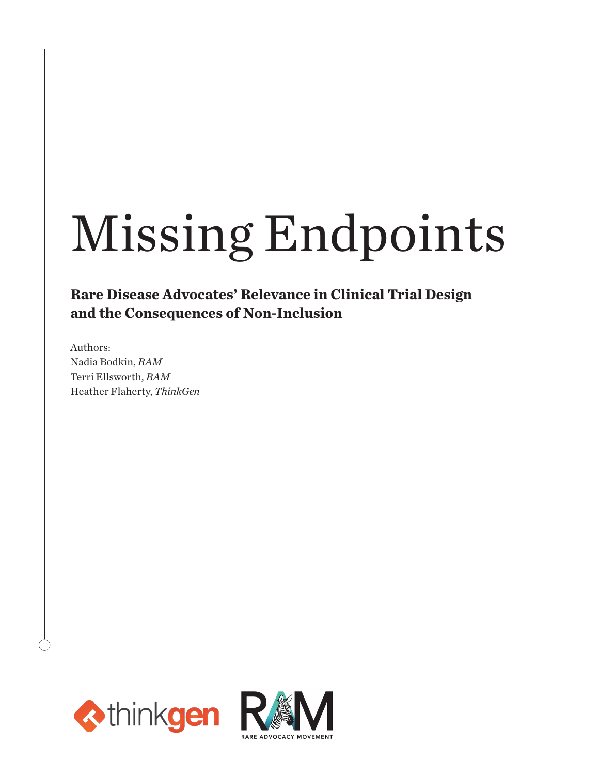# Missing Endpoints

**Rare Disease Advocates' Relevance in Clinical Trial Design and the Consequences of Non-Inclusion**

Authors: Nadia Bodkin, *RAM* Terri Ellsworth, *RAM* Heather Flaherty, *ThinkGen*



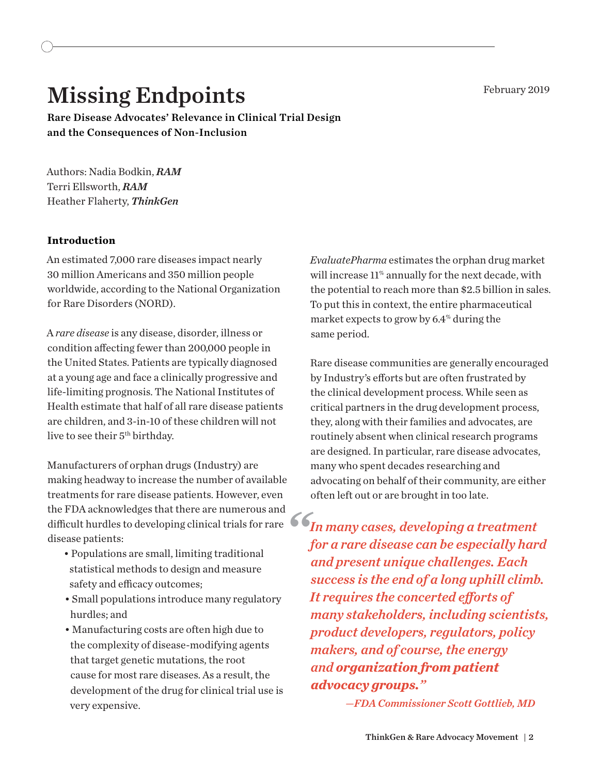## Missing Endpoints February 2019

Rare Disease Advocates' Relevance in Clinical Trial Design and the Consequences of Non-Inclusion

Authors: Nadia Bodkin, *RAM* Terri Ellsworth, *RAM* Heather Flaherty, *ThinkGen*

#### **Introduction**

An estimated 7,000 rare diseases impact nearly 30 million Americans and 350 million people worldwide, according to the National Organization for Rare Disorders (NORD).

A *rare disease* is any disease, disorder, illness or condition afecting fewer than 200,000 people in the United States. Patients are typically diagnosed at a young age and face a clinically progressive and life-limiting prognosis. The National Institutes of Health estimate that half of all rare disease patients are children, and 3-in-10 of these children will not live to see their 5<sup>th</sup> birthday.

Manufacturers of orphan drugs (Industry) are making headway to increase the number of available treatments for rare disease patients. However, even the FDA acknowledges that there are numerous and difcult hurdles to developing clinical trials for rare *In many cases, developing a treatment*  disease patients: *"*

- Populations are small, limiting traditional statistical methods to design and measure safety and efficacy outcomes;
- Small populations introduce many regulatory hurdles; and
- Manufacturing costs are often high due to the complexity of disease-modifying agents that target genetic mutations, the root cause for most rare diseases. As a result, the development of the drug for clinical trial use is very expensive.

*EvaluatePharma* estimates the orphan drug market will increase 11% annually for the next decade, with the potential to reach more than \$2.5 billion in sales. To put this in context, the entire pharmaceutical market expects to grow by 6.4% during the same period.

Rare disease communities are generally encouraged by Industry's efforts but are often frustrated by the clinical development process. While seen as critical partners in the drug development process, they, along with their families and advocates, are routinely absent when clinical research programs are designed. In particular, rare disease advocates, many who spent decades researching and advocating on behalf of their community, are either often left out or are brought in too late.

*for a rare disease can be especially hard and present unique challenges. Each success is the end of a long uphill climb. It requires the concerted eforts of many stakeholders, including scientists, product developers, regulators, policy makers, and of course, the energy and organization from patient advocacy groups."* 

*— FDA Commissioner Scott Gottlieb, MD*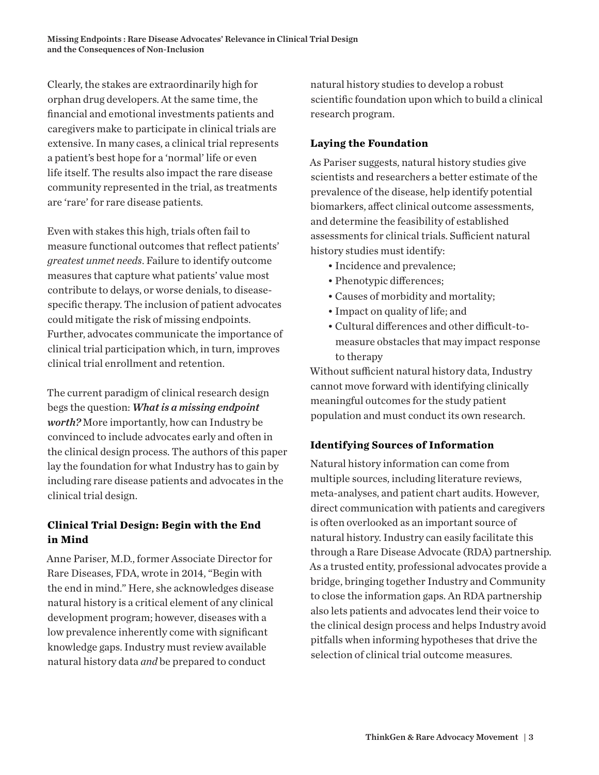Clearly, the stakes are extraordinarily high for orphan drug developers. At the same time, the financial and emotional investments patients and caregivers make to participate in clinical trials are extensive. In many cases, a clinical trial represents a patient's best hope for a 'normal' life or even life itself. The results also impact the rare disease community represented in the trial, as treatments are 'rare' for rare disease patients.

Even with stakes this high, trials often fail to measure functional outcomes that reflect patients' *greatest unmet needs*. Failure to identify outcome measures that capture what patients' value most contribute to delays, or worse denials, to diseasespecific therapy. The inclusion of patient advocates could mitigate the risk of missing endpoints. Further, advocates communicate the importance of clinical trial participation which, in turn, improves clinical trial enrollment and retention.

The current paradigm of clinical research design begs the question: *What is a missing endpoint worth?* More importantly, how can Industry be convinced to include advocates early and often in the clinical design process. The authors of this paper lay the foundation for what Industry has to gain by including rare disease patients and advocates in the clinical trial design.

#### **Clinical Trial Design: Begin with the End in Mind**

Anne Pariser, M.D., former Associate Director for Rare Diseases, FDA, wrote in 2014, "Begin with the end in mind." Here, she acknowledges disease natural history is a critical element of any clinical development program; however, diseases with a low prevalence inherently come with significant knowledge gaps. Industry must review available natural history data *and* be prepared to conduct

natural history studies to develop a robust scientific foundation upon which to build a clinical research program.

#### **Laying the Foundation**

As Pariser suggests, natural history studies give scientists and researchers a better estimate of the prevalence of the disease, help identify potential biomarkers, afect clinical outcome assessments, and determine the feasibility of established assessments for clinical trials. Sufficient natural history studies must identify:

- Incidence and prevalence;
- Phenotypic diferences;
- Causes of morbidity and mortality;
- Impact on quality of life; and
- Cultural differences and other difficult-tomeasure obstacles that may impact response to therapy

Without sufficient natural history data, Industry cannot move forward with identifying clinically meaningful outcomes for the study patient population and must conduct its own research.

#### **Identifying Sources of Information**

Natural history information can come from multiple sources, including literature reviews, meta-analyses, and patient chart audits. However, direct communication with patients and caregivers is often overlooked as an important source of natural history. Industry can easily facilitate this through a Rare Disease Advocate (RDA) partnership. As a trusted entity, professional advocates provide a bridge, bringing together Industry and Community to close the information gaps. An RDA partnership also lets patients and advocates lend their voice to the clinical design process and helps Industry avoid pitfalls when informing hypotheses that drive the selection of clinical trial outcome measures.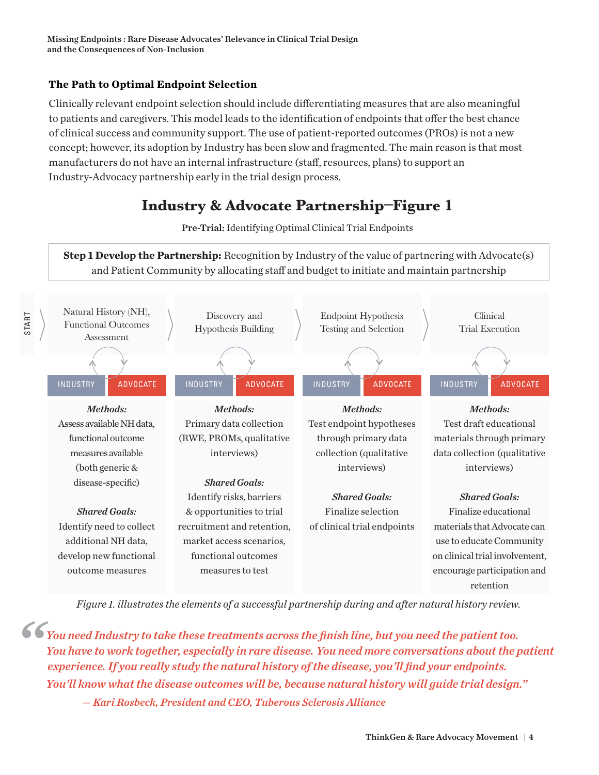#### **The Path to Optimal Endpoint Selection**

Clinically relevant endpoint selection should include diferentiating measures that are also meaningful to patients and caregivers. This model leads to the identification of endpoints that ofer the best chance of clinical success and community support. The use of patient-reported outcomes (PROs) is not a new concept; however, its adoption by Industry has been slow and fragmented. The main reason is that most manufacturers do not have an internal infrastructure (staf, resources, plans) to support an Industry-Advocacy partnership early in the trial design process.

## **Industry & Advocate Partnership–Figure 1**

Pre-Trial: Identifying Optimal Clinical Trial Endpoints

**Step 1 Develop the Partnership:** Recognition by Industry of the value of partnering with Advocate(s) and Patient Community by allocating staf and budget to initiate and maintain partnership



*Figure 1. illustrates the elements of a successful partnership during and after natural history review.* 

*You need Industry to take these treatments across the finish line, but you need the patient too. You have to work together, especially in rare disease. You need more conversations about the patient experience. If you really study the natural history of the disease, you'll find your endpoints. You'll know what the disease outcomes will be, because natural history will guide trial design." — Kari Rosbeck, President and CEO, Tuberous Sclerosis Alliance "*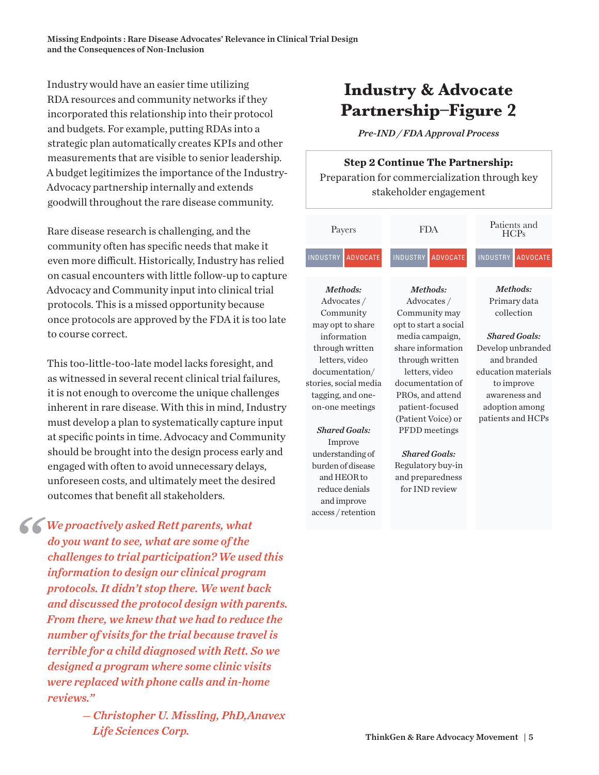Industry would have an easier time utilizing RDA resources and community networks if they incorporated this relationship into their protocol and budgets. For example, putting RDAs into a strategic plan automatically creates KPIs and other measurements that are visible to senior leadership. A budget legitimizes the importance of the Industry-Advocacy partnership internally and extends goodwill throughout the rare disease community.

Rare disease research is challenging, and the community often has specific needs that make it even more difficult. Historically, Industry has relied on casual encounters with little follow-up to capture Advocacy and Community input into clinical trial protocols. This is a missed opportunity because once protocols are approved by the FDA it is too late to course correct.

This too-little-too-late model lacks foresight, and as witnessed in several recent clinical trial failures, it is not enough to overcome the unique challenges inherent in rare disease. With this in mind, Industry must develop a plan to systematically capture input at specific points in time. Advocacy and Community should be brought into the design process early and engaged with often to avoid unnecessary delays, unforeseen costs, and ultimately meet the desired outcomes that benefit all stakeholders.

*We proactively asked Rett parents, what do you want to see, what are some of the challenges to trial participation? We used this information to design our clinical program protocols. It didn't stop there. We went back and discussed the protocol design with parents. From there, we knew that we had to reduce the number of visits for the trial because travel is terrible for a child diagnosed with Rett. So we designed a program where some clinic visits were replaced with phone calls and in-home reviews."*

*"*

 *— Christopher U. Missling, PhD,Anavex Life Sciences Corp.*

## **Industry & Advocate Partnership–Figure 2**

*Pre-IND / FDA Approval Process*

### **Step 2 Continue The Partnership:**

Preparation for commercialization through key stakeholder engagement

| Payers                             | <b>FDA</b>                         | Patients and<br>HCPs               |
|------------------------------------|------------------------------------|------------------------------------|
| <b>INDUSTRY</b><br><b>ADVOCATE</b> | <b>INDUSTRY</b><br><b>ADVOCATE</b> | <b>INDUSTRY</b><br><b>ADVOCATE</b> |
| Methods:                           | Methods:                           | Methods:                           |
| Advocates/                         | Advocates /                        | Primary data                       |
| Community                          | Community may                      | collection                         |
| may opt to share                   | opt to start a social              |                                    |
| information                        | media campaign,                    | <b>Shared Goals:</b>               |
| through written                    | share information                  | Develop unbranded                  |
| letters, video                     | through written                    | and branded                        |
| documentation/                     | letters, video                     | education materials                |
| stories, social media              | documentation of                   | to improve                         |
| tagging, and one-                  | PROs, and attend                   | awareness and                      |
| on-one meetings                    | patient-focused                    | adoption among                     |
|                                    | (Patient Voice) or                 | patients and HCPs                  |
| <b>Shared Goals:</b>               | PFDD meetings                      |                                    |
| Improve                            |                                    |                                    |
| understanding of                   | <b>Shared Goals:</b>               |                                    |
| burden of disease                  | Regulatory buy-in                  |                                    |
| and HEOR to                        | and preparedness                   |                                    |
| reduce denials                     | for IND review                     |                                    |
| and improve                        |                                    |                                    |
| access / retention                 |                                    |                                    |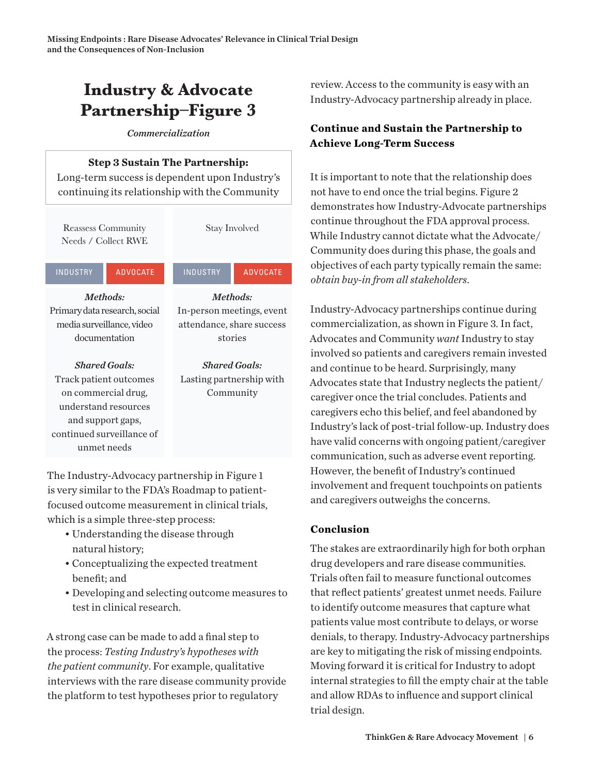## **Industry & Advocate Partnership–Figure 3**

*Commercialization*

#### **Step 3 Sustain The Partnership:**

Long-term success is dependent upon Industry's continuing its relationship with the Community

Reassess Community Needs / Collect RWE

INDUSTRY ADVOCATE INDUSTRY ADVOCATE

Stay Involved

*Methods:* In-person meetings, event attendance, share success stories

*Methods:* Primary data research, social media surveillance, video documentation

*Shared Goals:* Track patient outcomes on commercial drug, understand resources and support gaps, continued surveillance of unmet needs

*Shared Goals:* Lasting partnership with Community

The Industry-Advocacy partnership in Figure 1 is very similar to the FDA's Roadmap to patientfocused outcome measurement in clinical trials, which is a simple three-step process:

- Understanding the disease through natural history;
- Conceptualizing the expected treatment benefit; and
- Developing and selecting outcome measures to test in clinical research.

A strong case can be made to add a final step to the process: *Testing Industry's hypotheses with the patient community*. For example, qualitative interviews with the rare disease community provide the platform to test hypotheses prior to regulatory

review. Access to the community is easy with an Industry-Advocacy partnership already in place.

#### **Continue and Sustain the Partnership to Achieve Long-Term Success**

It is important to note that the relationship does not have to end once the trial begins. Figure 2 demonstrates how Industry-Advocate partnerships continue throughout the FDA approval process. While Industry cannot dictate what the Advocate/ Community does during this phase, the goals and objectives of each party typically remain the same: *obtain buy-in from all stakeholders*.

Industry-Advocacy partnerships continue during commercialization, as shown in Figure 3. In fact, Advocates and Community *want* Industry to stay involved so patients and caregivers remain invested and continue to be heard. Surprisingly, many Advocates state that Industry neglects the patient/ caregiver once the trial concludes. Patients and caregivers echo this belief, and feel abandoned by Industry's lack of post-trial follow-up. Industry does have valid concerns with ongoing patient/caregiver communication, such as adverse event reporting. However, the benefit of Industry's continued involvement and frequent touchpoints on patients and caregivers outweighs the concerns.

#### **Conclusion**

The stakes are extraordinarily high for both orphan drug developers and rare disease communities. Trials often fail to measure functional outcomes that reflect patients' greatest unmet needs. Failure to identify outcome measures that capture what patients value most contribute to delays, or worse denials, to therapy. Industry-Advocacy partnerships are key to mitigating the risk of missing endpoints. Moving forward it is critical for Industry to adopt internal strategies to fill the empty chair at the table and allow RDAs to influence and support clinical trial design.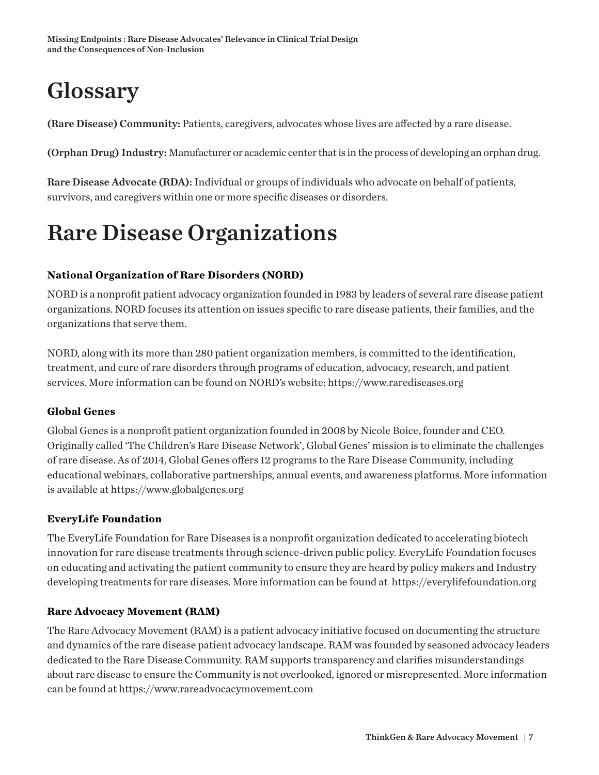# **Glossary**

(Rare Disease) Community: Patients, caregivers, advocates whose lives are afected by a rare disease.

(Orphan Drug) Industry: Manufacturer or academic center that is in the process of developing an orphan drug.

Rare Disease Advocate (RDA): Individual or groups of individuals who advocate on behalf of patients, survivors, and caregivers within one or more specific diseases or disorders.

# Rare Disease Organizations

#### **National Organization of Rare Disorders (NORD)**

NORD is a nonprofit patient advocacy organization founded in 1983 by leaders of several rare disease patient organizations. NORD focuses its attention on issues specific to rare disease patients, their families, and the organizations that serve them.

NORD, along with its more than 280 patient organization members, is committed to the identification, treatment, and cure of rare disorders through programs of education, advocacy, research, and patient services. More information can be found on NORD's website: https://www.rarediseases.org

#### **Global Genes**

Global Genes is a nonprofit patient organization founded in 2008 by Nicole Boice, founder and CEO. Originally called 'The Children's Rare Disease Network', Global Genes' mission is to eliminate the challenges of rare disease. As of 2014, Global Genes ofers 12 programs to the Rare Disease Community, including educational webinars, collaborative partnerships, annual events, and awareness platforms. More information is available at https://www.globalgenes.org

#### **EveryLife Foundation**

The EveryLife Foundation for Rare Diseases is a nonprofit organization dedicated to accelerating biotech innovation for rare disease treatments through science-driven public policy. EveryLife Foundation focuses on educating and activating the patient community to ensure they are heard by policy makers and Industry developing treatments for rare diseases. More information can be found at https://everylifefoundation.org

#### **Rare Advocacy Movement (RAM)**

The Rare Advocacy Movement (RAM) is a patient advocacy initiative focused on documenting the structure and dynamics of the rare disease patient advocacy landscape. RAM was founded by seasoned advocacy leaders dedicated to the Rare Disease Community. RAM supports transparency and clarifies misunderstandings about rare disease to ensure the Community is not overlooked, ignored or misrepresented. More information can be found at https://www.rareadvocacymovement.com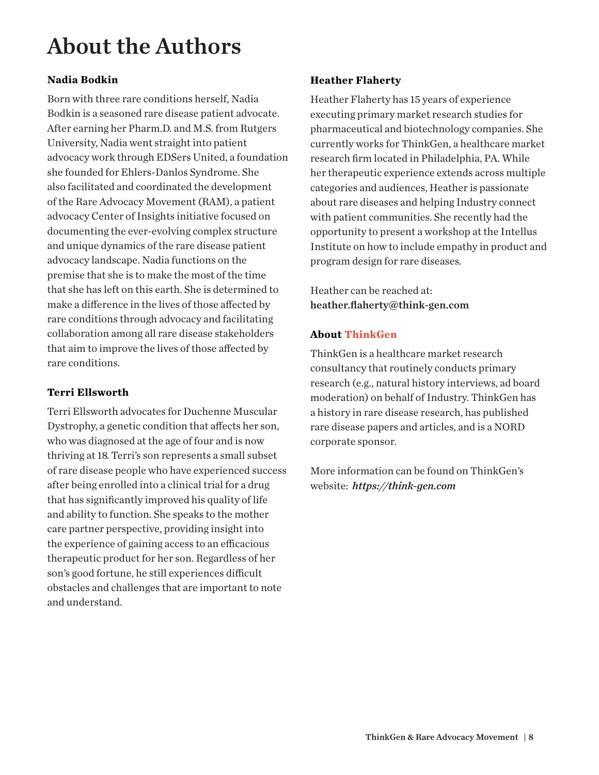# About the Authors

#### **Nadia Bodkin**

Born with three rare conditions herself, Nadia Bodkin is a seasoned rare disease patient advocate. After earning her Pharm.D. and M.S. from Rutgers University, Nadia went straight into patient advocacy work through EDSers United, a foundation she founded for Ehlers-Danlos Syndrome. She also facilitated and coordinated the development of the Rare Advocacy Movement (RAM), a patient advocacy Center of Insights initiative focused on documenting the ever-evolving complex structure and unique dynamics of the rare disease patient advocacy landscape. Nadia functions on the premise that she is to make the most of the time that she has left on this earth. She is determined to make a diference in the lives of those afected by rare conditions through advocacy and facilitating collaboration among all rare disease stakeholders that aim to improve the lives of those afected by rare conditions.

#### **Terri Ellsworth**

Terri Ellsworth advocates for Duchenne Muscular Dystrophy, a genetic condition that affects her son, who was diagnosed at the age of four and is now thriving at 18. Terri's son represents a small subset of rare disease people who have experienced success after being enrolled into a clinical trial for a drug that has significantly improved his quality of life and ability to function. She speaks to the mother care partner perspective, providing insight into the experience of gaining access to an efficacious therapeutic product for her son. Regardless of her son's good fortune, he still experiences difficult obstacles and challenges that are important to note and understand.

#### **Heather Flaherty**

Heather Flaherty has 15 years of experience executing primary market research studies for pharmaceutical and biotechnology companies. She currently works for ThinkGen, a healthcare market research firm located in Philadelphia, PA. While her therapeutic experience extends across multiple categories and audiences, Heather is passionate about rare diseases and helping Industry connect with patient communities. She recently had the opportunity to present a workshop at the Intellus Institute on how to include empathy in product and program design for rare diseases.

Heather can be reached at: heather.flaherty@think-gen.com

#### **About ThinkGen**

ThinkGen is a healthcare market research consultancy that routinely conducts primary research (e.g., natural history interviews, ad board moderation) on behalf of Industry. ThinkGen has a history in rare disease research, has published rare disease papers and articles, and is a NORD corporate sponsor.

More information can be found on ThinkGen's website: *https://think-gen.com*